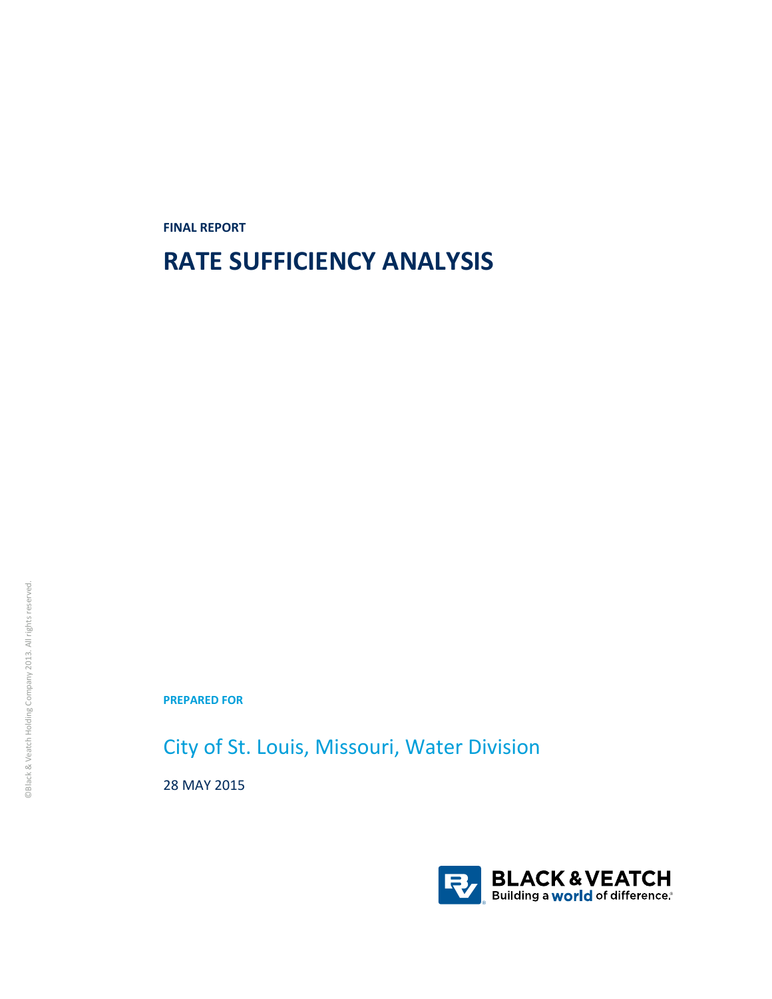**FINAL REPORT**

# **RATE SUFFICIENCY ANALYSIS**

**PREPARED FOR**

City of St. Louis, Missouri, Water Division

28 MAY 2015

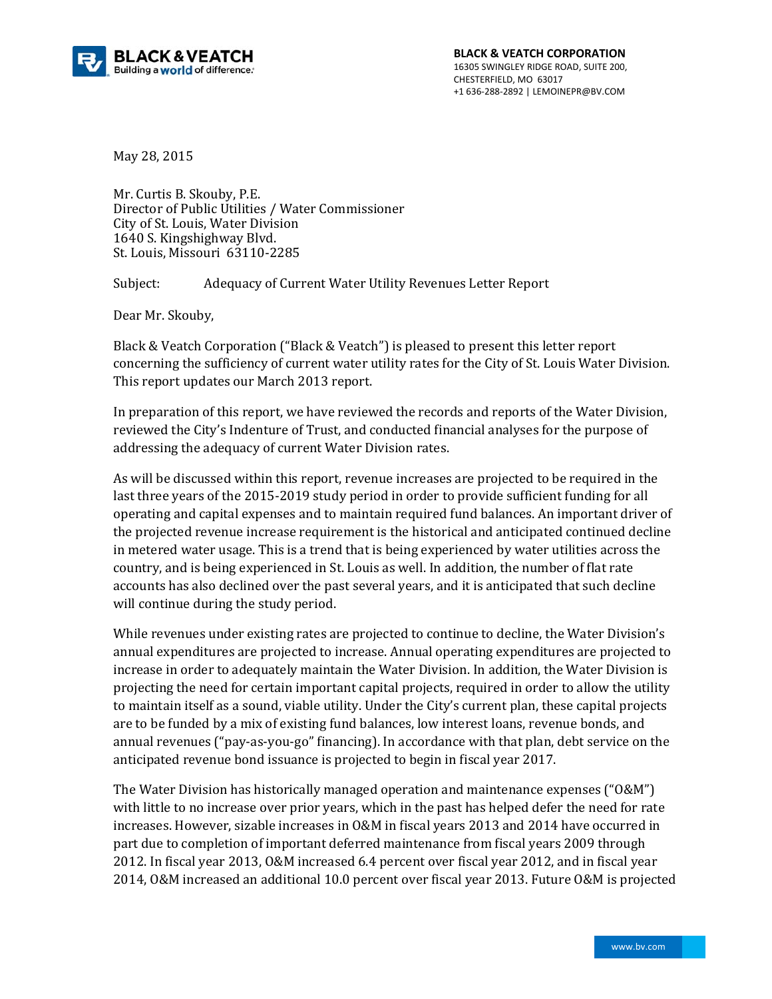

May 28, 2015 

Mr. Curtis B. Skouby, P.E. Director of Public Utilities / Water Commissioner City of St. Louis, Water Division 1640 S. Kingshighway Blyd. St. Louis, Missouri 63110-2285

Subject: Adequacy of Current Water Utility Revenues Letter Report

Dear Mr. Skouby,

Black & Veatch Corporation ("Black & Veatch") is pleased to present this letter report concerning the sufficiency of current water utility rates for the City of St. Louis Water Division. This report updates our March 2013 report.

In preparation of this report, we have reviewed the records and reports of the Water Division, reviewed the City's Indenture of Trust, and conducted financial analyses for the purpose of addressing the adequacy of current Water Division rates.

As will be discussed within this report, revenue increases are projected to be required in the last three years of the 2015-2019 study period in order to provide sufficient funding for all operating and capital expenses and to maintain required fund balances. An important driver of the projected revenue increase requirement is the historical and anticipated continued decline in metered water usage. This is a trend that is being experienced by water utilities across the country, and is being experienced in St. Louis as well. In addition, the number of flat rate accounts has also declined over the past several years, and it is anticipated that such decline will continue during the study period.

While revenues under existing rates are projected to continue to decline, the Water Division's annual expenditures are projected to increase. Annual operating expenditures are projected to increase in order to adequately maintain the Water Division. In addition, the Water Division is projecting the need for certain important capital projects, required in order to allow the utility to maintain itself as a sound, viable utility. Under the City's current plan, these capital projects are to be funded by a mix of existing fund balances, low interest loans, revenue bonds, and annual revenues ("pay-as-you-go" financing). In accordance with that plan, debt service on the anticipated revenue bond issuance is projected to begin in fiscal year 2017.

The Water Division has historically managed operation and maintenance expenses  $("0&M")$ with little to no increase over prior years, which in the past has helped defer the need for rate increases. However, sizable increases in O&M in fiscal years 2013 and 2014 have occurred in part due to completion of important deferred maintenance from fiscal years 2009 through 2012. In fiscal year 2013, O&M increased 6.4 percent over fiscal year 2012, and in fiscal year 2014, O&M increased an additional 10.0 percent over fiscal year 2013. Future O&M is projected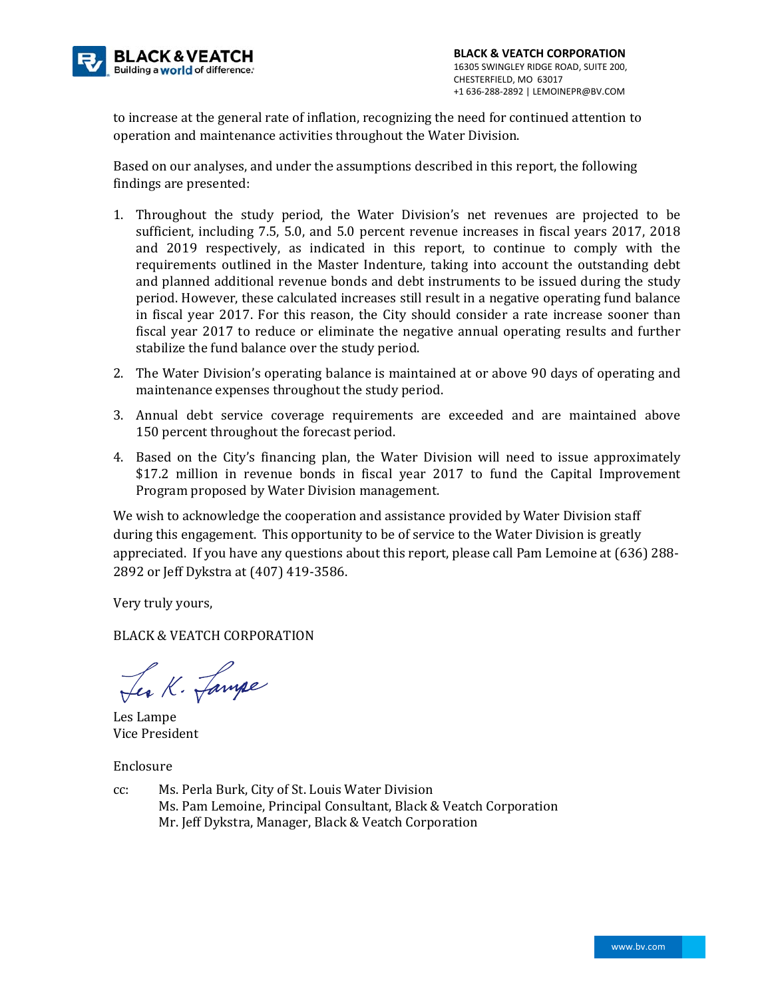

to increase at the general rate of inflation, recognizing the need for continued attention to operation and maintenance activities throughout the Water Division.

Based on our analyses, and under the assumptions described in this report, the following findings are presented:

- 1. Throughout the study period, the Water Division's net revenues are projected to be sufficient, including 7.5, 5.0, and 5.0 percent revenue increases in fiscal years 2017, 2018 and 2019 respectively, as indicated in this report, to continue to comply with the requirements outlined in the Master Indenture, taking into account the outstanding debt and planned additional revenue bonds and debt instruments to be issued during the study period. However, these calculated increases still result in a negative operating fund balance in fiscal year 2017. For this reason, the City should consider a rate increase sooner than fiscal year 2017 to reduce or eliminate the negative annual operating results and further stabilize the fund balance over the study period.
- 2. The Water Division's operating balance is maintained at or above 90 days of operating and maintenance expenses throughout the study period.
- 3. Annual debt service coverage requirements are exceeded and are maintained above 150 percent throughout the forecast period.
- 4. Based on the City's financing plan, the Water Division will need to issue approximately \$17.2 million in revenue bonds in fiscal year 2017 to fund the Capital Improvement Program proposed by Water Division management.

We wish to acknowledge the cooperation and assistance provided by Water Division staff during this engagement. This opportunity to be of service to the Water Division is greatly appreciated. If you have any questions about this report, please call Pam Lemoine at (636) 288-2892 or Jeff Dykstra at (407) 419-3586.

Very truly yours,

BLACK & VEATCH CORPORATION

Les K. Lampe

Les Lampe Vice President 

Enclosure 

cc: Ms. Perla Burk, City of St. Louis Water Division Ms. Pam Lemoine, Principal Consultant, Black & Veatch Corporation Mr. Jeff Dykstra, Manager, Black & Veatch Corporation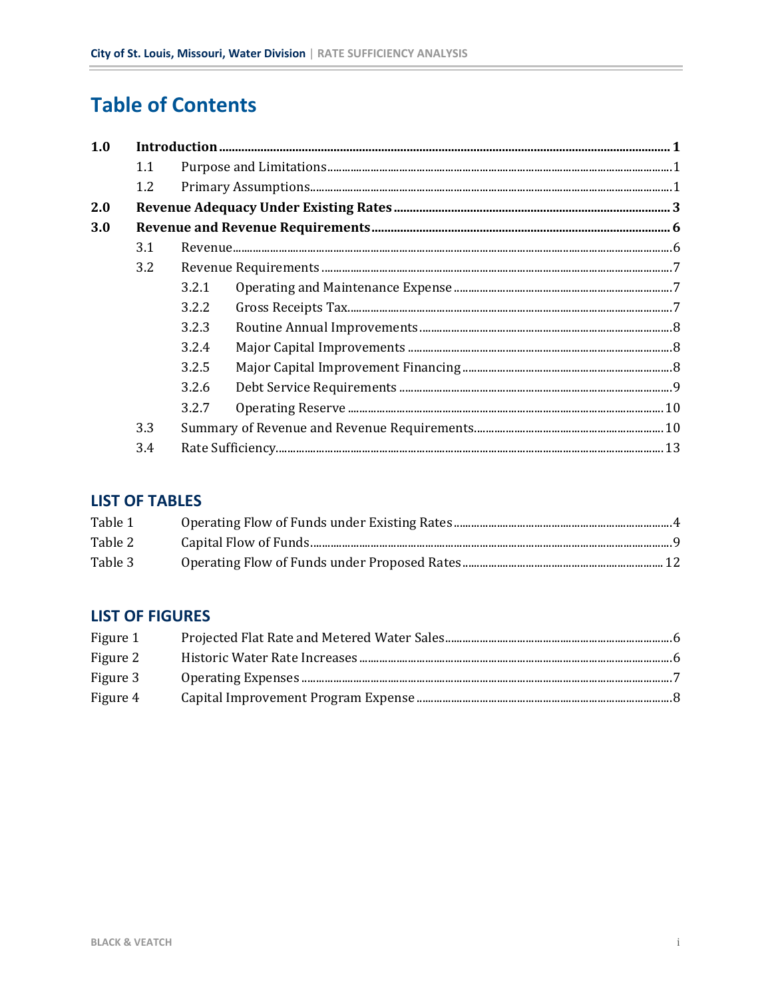# **Table of Contents**

| 1.0 |         |       |  |  |  |  |
|-----|---------|-------|--|--|--|--|
|     | 1.1     |       |  |  |  |  |
|     | $1.2\,$ |       |  |  |  |  |
| 2.0 |         |       |  |  |  |  |
| 3.0 |         |       |  |  |  |  |
|     | 3.1     |       |  |  |  |  |
|     | 3.2     |       |  |  |  |  |
|     |         | 3.2.1 |  |  |  |  |
|     |         | 3.2.2 |  |  |  |  |
|     |         | 3.2.3 |  |  |  |  |
|     |         | 3.2.4 |  |  |  |  |
|     |         | 3.2.5 |  |  |  |  |
|     |         | 3.2.6 |  |  |  |  |
|     |         | 3.2.7 |  |  |  |  |
|     | 3.3     |       |  |  |  |  |
|     | 3.4     |       |  |  |  |  |

# **LIST OF TABLES**

| Table 1 |  |
|---------|--|
| Table 2 |  |
| Table 3 |  |

# **LIST OF FIGURES**

| Figure 1 |  |
|----------|--|
| Figure 2 |  |
| Figure 3 |  |
| Figure 4 |  |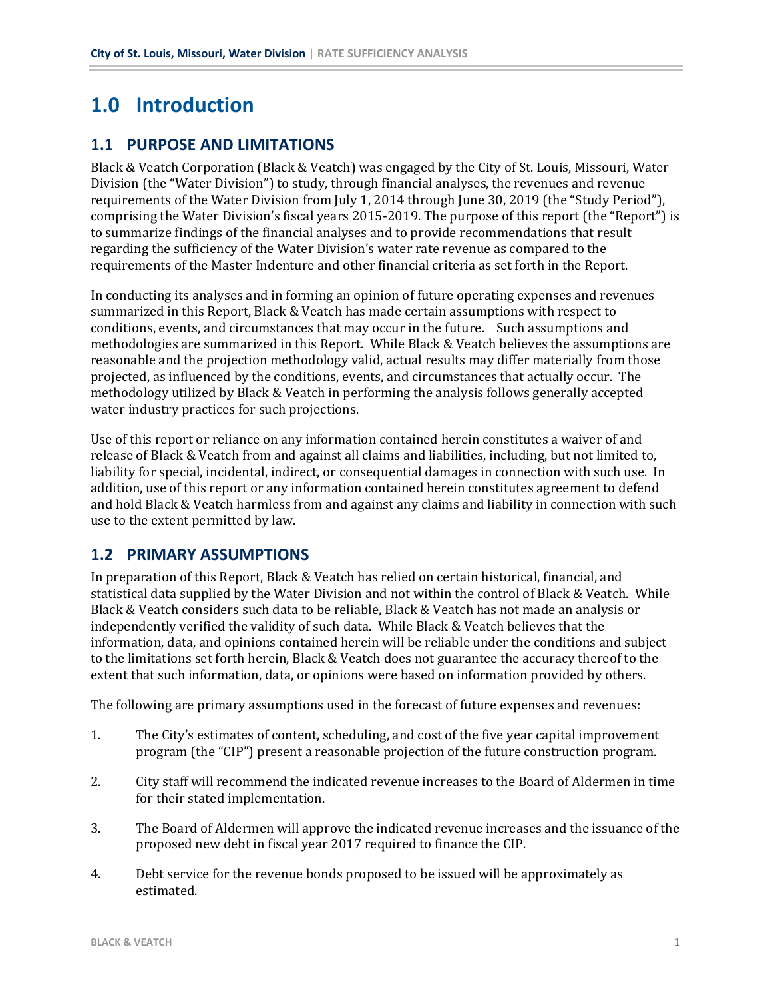# **1.0 Introduction**

## **1.1 PURPOSE AND LIMITATIONS**

Black & Veatch Corporation (Black & Veatch) was engaged by the City of St. Louis, Missouri, Water Division (the "Water Division") to study, through financial analyses, the revenues and revenue requirements of the Water Division from July 1, 2014 through June 30, 2019 (the "Study Period"), comprising the Water Division's fiscal years 2015-2019. The purpose of this report (the "Report") is to summarize findings of the financial analyses and to provide recommendations that result regarding the sufficiency of the Water Division's water rate revenue as compared to the requirements of the Master Indenture and other financial criteria as set forth in the Report.

In conducting its analyses and in forming an opinion of future operating expenses and revenues summarized in this Report, Black & Veatch has made certain assumptions with respect to conditions, events, and circumstances that may occur in the future. Such assumptions and methodologies are summarized in this Report. While Black & Veatch believes the assumptions are reasonable and the projection methodology valid, actual results may differ materially from those projected, as influenced by the conditions, events, and circumstances that actually occur. The methodology utilized by Black & Veatch in performing the analysis follows generally accepted water industry practices for such projections.

Use of this report or reliance on any information contained herein constitutes a waiver of and release of Black & Veatch from and against all claims and liabilities, including, but not limited to, liability for special, incidental, indirect, or consequential damages in connection with such use. In addition, use of this report or any information contained herein constitutes agreement to defend and hold Black & Veatch harmless from and against any claims and liability in connection with such use to the extent permitted by law.

### **1.2 PRIMARY ASSUMPTIONS**

In preparation of this Report, Black & Veatch has relied on certain historical, financial, and statistical data supplied by the Water Division and not within the control of Black & Veatch. While Black & Veatch considers such data to be reliable, Black & Veatch has not made an analysis or independently verified the validity of such data. While Black & Veatch believes that the information, data, and opinions contained herein will be reliable under the conditions and subject to the limitations set forth herein, Black & Veatch does not guarantee the accuracy thereof to the extent that such information, data, or opinions were based on information provided by others.

The following are primary assumptions used in the forecast of future expenses and revenues:

- 1. The City's estimates of content, scheduling, and cost of the five year capital improvement program (the "CIP") present a reasonable projection of the future construction program.
- 2. City staff will recommend the indicated revenue increases to the Board of Aldermen in time for their stated implementation.
- 3. The Board of Aldermen will approve the indicated revenue increases and the issuance of the proposed new debt in fiscal year 2017 required to finance the CIP.
- 4. Debt service for the revenue bonds proposed to be issued will be approximately as estimated.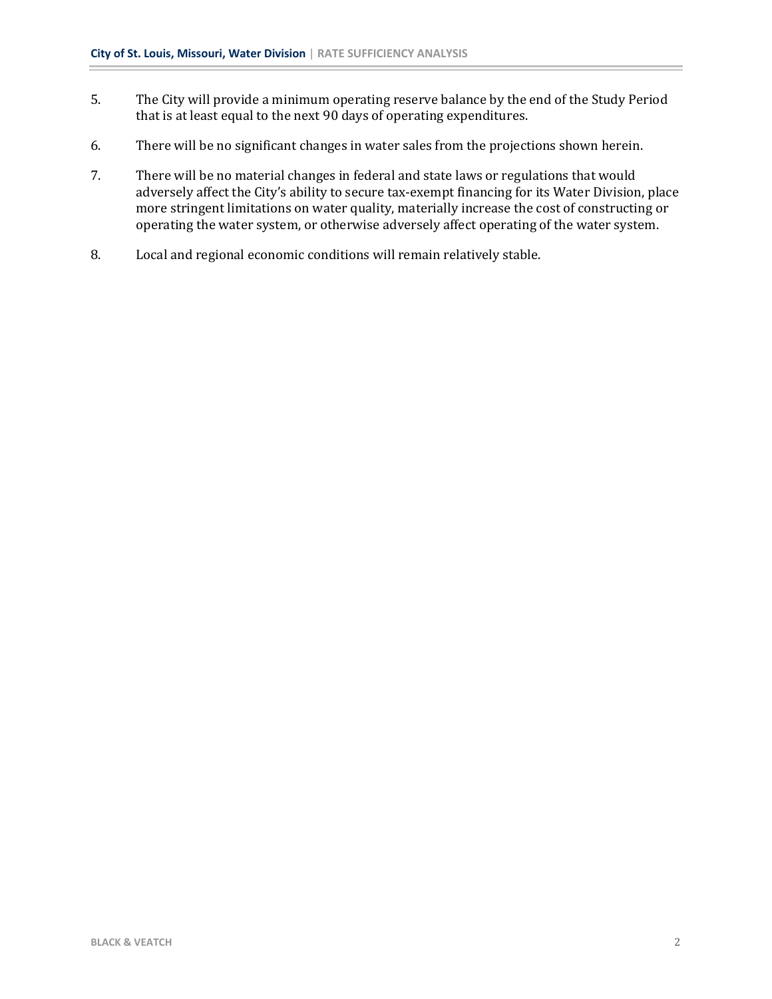- 5. The City will provide a minimum operating reserve balance by the end of the Study Period that is at least equal to the next 90 days of operating expenditures.
- 6. There will be no significant changes in water sales from the projections shown herein.
- 7. There will be no material changes in federal and state laws or regulations that would adversely affect the City's ability to secure tax-exempt financing for its Water Division, place more stringent limitations on water quality, materially increase the cost of constructing or operating the water system, or otherwise adversely affect operating of the water system.
- 8. Local and regional economic conditions will remain relatively stable.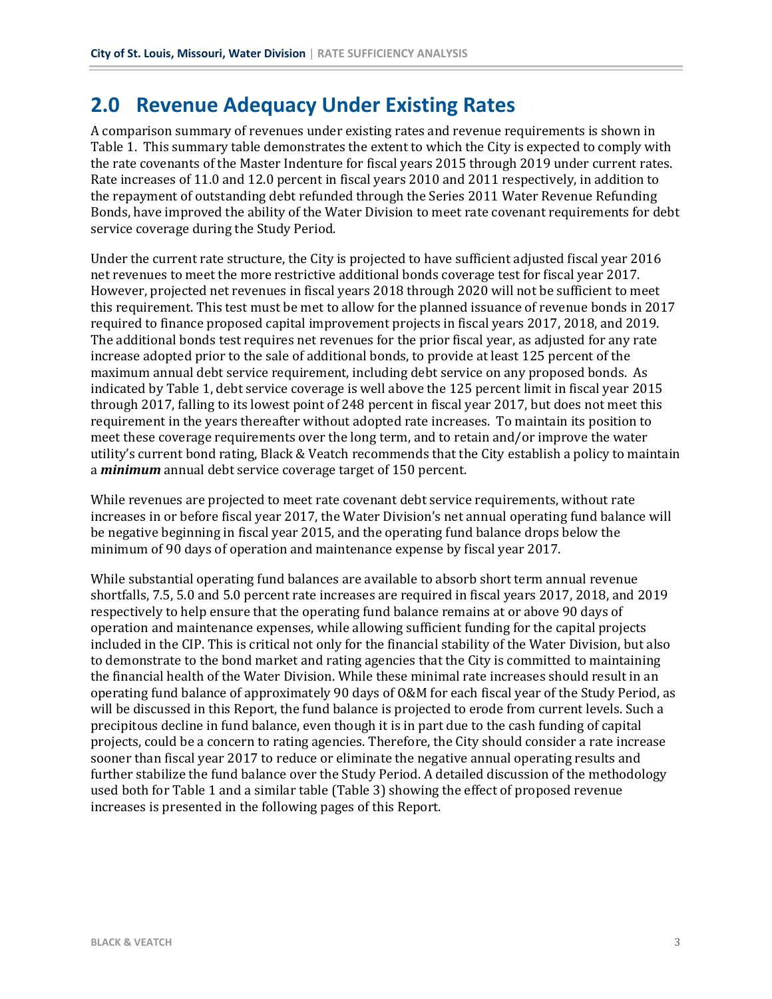# **2.0 Revenue Adequacy Under Existing Rates**

A comparison summary of revenues under existing rates and revenue requirements is shown in Table 1. This summary table demonstrates the extent to which the City is expected to comply with the rate covenants of the Master Indenture for fiscal years 2015 through 2019 under current rates. Rate increases of 11.0 and 12.0 percent in fiscal years 2010 and 2011 respectively, in addition to the repayment of outstanding debt refunded through the Series 2011 Water Revenue Refunding Bonds, have improved the ability of the Water Division to meet rate covenant requirements for debt service coverage during the Study Period.

Under the current rate structure, the City is projected to have sufficient adjusted fiscal year 2016 net revenues to meet the more restrictive additional bonds coverage test for fiscal year 2017. However, projected net revenues in fiscal years 2018 through 2020 will not be sufficient to meet this requirement. This test must be met to allow for the planned issuance of revenue bonds in 2017 required to finance proposed capital improvement projects in fiscal years 2017, 2018, and 2019. The additional bonds test requires net revenues for the prior fiscal year, as adjusted for any rate increase adopted prior to the sale of additional bonds, to provide at least 125 percent of the maximum annual debt service requirement, including debt service on any proposed bonds. As indicated by Table 1, debt service coverage is well above the 125 percent limit in fiscal year 2015 through 2017, falling to its lowest point of 248 percent in fiscal year 2017, but does not meet this requirement in the years thereafter without adopted rate increases. To maintain its position to meet these coverage requirements over the long term, and to retain and/or improve the water utility's current bond rating, Black & Veatch recommends that the City establish a policy to maintain a *minimum* annual debt service coverage target of 150 percent.

While revenues are projected to meet rate covenant debt service requirements, without rate increases in or before fiscal year 2017, the Water Division's net annual operating fund balance will be negative beginning in fiscal year 2015, and the operating fund balance drops below the minimum of 90 days of operation and maintenance expense by fiscal year 2017.

While substantial operating fund balances are available to absorb short term annual revenue shortfalls, 7.5, 5.0 and 5.0 percent rate increases are required in fiscal years 2017, 2018, and 2019 respectively to help ensure that the operating fund balance remains at or above 90 days of operation and maintenance expenses, while allowing sufficient funding for the capital projects included in the CIP. This is critical not only for the financial stability of the Water Division, but also to demonstrate to the bond market and rating agencies that the City is committed to maintaining the financial health of the Water Division. While these minimal rate increases should result in an operating fund balance of approximately 90 days of O&M for each fiscal year of the Study Period, as will be discussed in this Report, the fund balance is projected to erode from current levels. Such a precipitous decline in fund balance, even though it is in part due to the cash funding of capital projects, could be a concern to rating agencies. Therefore, the City should consider a rate increase sooner than fiscal year 2017 to reduce or eliminate the negative annual operating results and further stabilize the fund balance over the Study Period. A detailed discussion of the methodology used both for Table 1 and a similar table (Table 3) showing the effect of proposed revenue increases is presented in the following pages of this Report.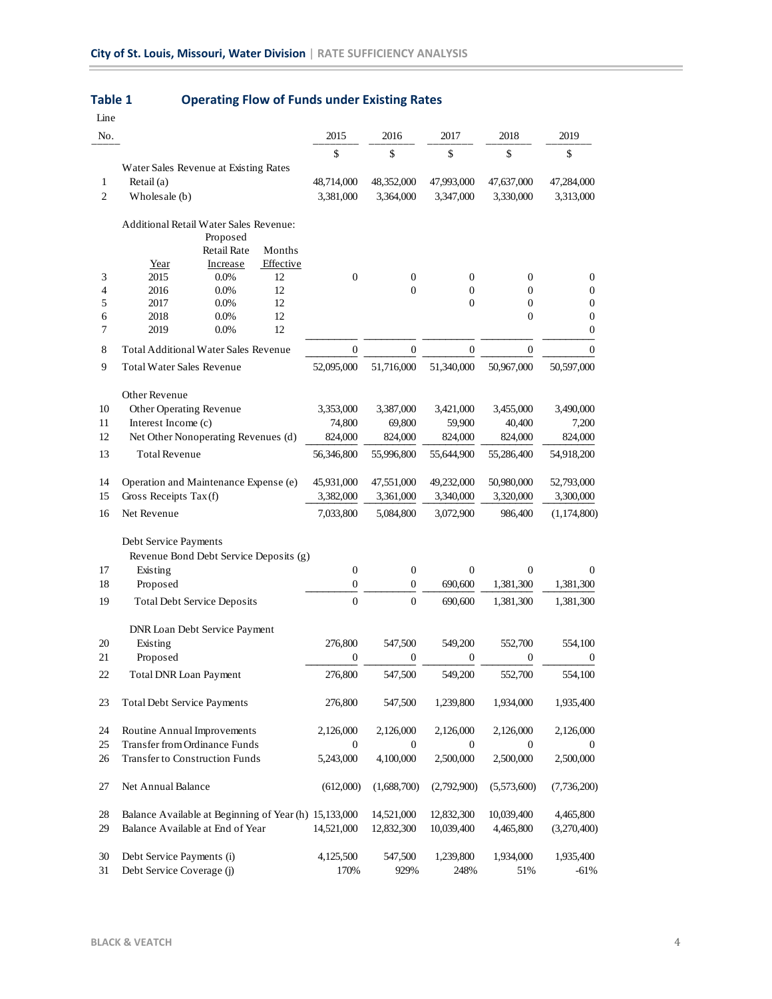| Line           |                                                               |                  |                  |                  |                  |                                      |
|----------------|---------------------------------------------------------------|------------------|------------------|------------------|------------------|--------------------------------------|
| No.            |                                                               | 2015             | 2016             | 2017             | 2018             | 2019                                 |
|                |                                                               | \$               | \$               | \$               | \$               | \$                                   |
|                | Water Sales Revenue at Existing Rates                         |                  |                  |                  |                  |                                      |
| 1              | Retail (a)                                                    | 48,714,000       | 48,352,000       | 47,993,000       | 47,637,000       | 47,284,000                           |
| $\overline{c}$ | Wholesale (b)                                                 | 3,381,000        | 3,364,000        | 3,347,000        | 3,330,000        | 3,313,000                            |
|                | Additional Retail Water Sales Revenue:<br>Proposed            |                  |                  |                  |                  |                                      |
|                | <b>Retail Rate</b><br>Months<br>Effective<br>Increase<br>Year |                  |                  |                  |                  |                                      |
| 3              | 2015<br>$0.0\%$<br>12                                         | $\boldsymbol{0}$ | $\boldsymbol{0}$ | $\boldsymbol{0}$ | $\boldsymbol{0}$ | $\boldsymbol{0}$                     |
| 4              | 12<br>2016<br>0.0%                                            |                  | $\overline{0}$   | $\boldsymbol{0}$ | $\mathbf{0}$     | $\boldsymbol{0}$                     |
| 5              | 2017<br>0.0%<br>12                                            |                  |                  | $\mathbf{0}$     | $\boldsymbol{0}$ | $\boldsymbol{0}$                     |
| 6<br>7         | 12<br>2018<br>0.0%<br>12<br>2019<br>$0.0\%$                   |                  |                  |                  | $\boldsymbol{0}$ | $\boldsymbol{0}$<br>$\boldsymbol{0}$ |
| 8              | <b>Total Additional Water Sales Revenue</b>                   | $\overline{0}$   | $\mathbf{0}$     | $\theta$         | $\boldsymbol{0}$ | $\mathbf{0}$                         |
| 9              | <b>Total Water Sales Revenue</b>                              | 52,095,000       | 51,716,000       | 51,340,000       | 50,967,000       | 50,597,000                           |
|                | Other Revenue                                                 |                  |                  |                  |                  |                                      |
| 10             | Other Operating Revenue                                       | 3,353,000        | 3,387,000        | 3,421,000        | 3,455,000        | 3,490,000                            |
| 11             | Interest Income (c)                                           | 74,800           | 69,800           | 59,900           | 40,400           | 7,200                                |
| 12             | Net Other Nonoperating Revenues (d)                           | 824,000          | 824,000          | 824,000          | 824,000          | 824,000                              |
| 13             | <b>Total Revenue</b>                                          | 56,346,800       | 55,996,800       | 55,644,900       | 55,286,400       | 54,918,200                           |
| 14             | Operation and Maintenance Expense (e)                         | 45,931,000       | 47,551,000       | 49,232,000       | 50,980,000       | 52,793,000                           |
| 15             | Gross Receipts Tax(f)                                         | 3,382,000        | 3,361,000        | 3,340,000        | 3,320,000        | 3,300,000                            |
| 16             | Net Revenue                                                   | 7,033,800        | 5,084,800        | 3,072,900        | 986,400          | (1,174,800)                          |
|                | Debt Service Payments                                         |                  |                  |                  |                  |                                      |
|                | Revenue Bond Debt Service Deposits (g)                        |                  |                  |                  |                  |                                      |
| 17             | Existing                                                      | $\boldsymbol{0}$ | $\boldsymbol{0}$ | $\boldsymbol{0}$ | $\boldsymbol{0}$ | $\theta$                             |
| 18             | Proposed                                                      | $\boldsymbol{0}$ | $\boldsymbol{0}$ | 690,600          | 1,381,300        | 1,381,300                            |
| 19             | <b>Total Debt Service Deposits</b>                            | $\overline{0}$   | $\overline{0}$   | 690,600          | 1,381,300        | 1,381,300                            |
|                | DNR Loan Debt Service Payment                                 |                  |                  |                  |                  |                                      |
| 20             | Existing                                                      | 276,800          | 547,500          | 549,200          | 552,700          | 554,100                              |
| 21             | Proposed                                                      | $\boldsymbol{0}$ | $\boldsymbol{0}$ | 0                | $\boldsymbol{0}$ | $\boldsymbol{0}$                     |
| 22             | Total DNR Loan Payment                                        | 276,800          | 547,500          | 549,200          | 552,700          | 554,100                              |
| 23             | <b>Total Debt Service Payments</b>                            | 276,800          | 547,500          | 1,239,800        | 1,934,000        | 1,935,400                            |
| 24             | Routine Annual Improvements                                   | 2,126,000        | 2,126,000        | 2,126,000        | 2,126,000        | 2,126,000                            |
| 25             | Transfer from Ordinance Funds                                 | 0                | $\boldsymbol{0}$ | 0                | $\boldsymbol{0}$ | $\boldsymbol{0}$                     |
| 26             | Transfer to Construction Funds                                | 5,243,000        | 4,100,000        | 2,500,000        | 2,500,000        | 2,500,000                            |
| 27             | Net Annual Balance                                            | (612,000)        | (1,688,700)      | (2,792,900)      | (5,573,600)      | (7,736,200)                          |
| 28             | Balance Available at Beginning of Year (h) 15,133,000         |                  | 14,521,000       | 12,832,300       | 10,039,400       | 4,465,800                            |
| 29             | Balance Available at End of Year                              | 14,521,000       | 12,832,300       | 10,039,400       | 4,465,800        | (3,270,400)                          |
| 30             | Debt Service Payments (i)                                     | 4,125,500        | 547,500          | 1,239,800        | 1,934,000        | 1,935,400                            |
| 31             | Debt Service Coverage (j)                                     | 170%             | 929%             | 248%             | 51%              | -61%                                 |

## **Table 1 Operating Flow of Funds under Existing Rates**

 $\sim$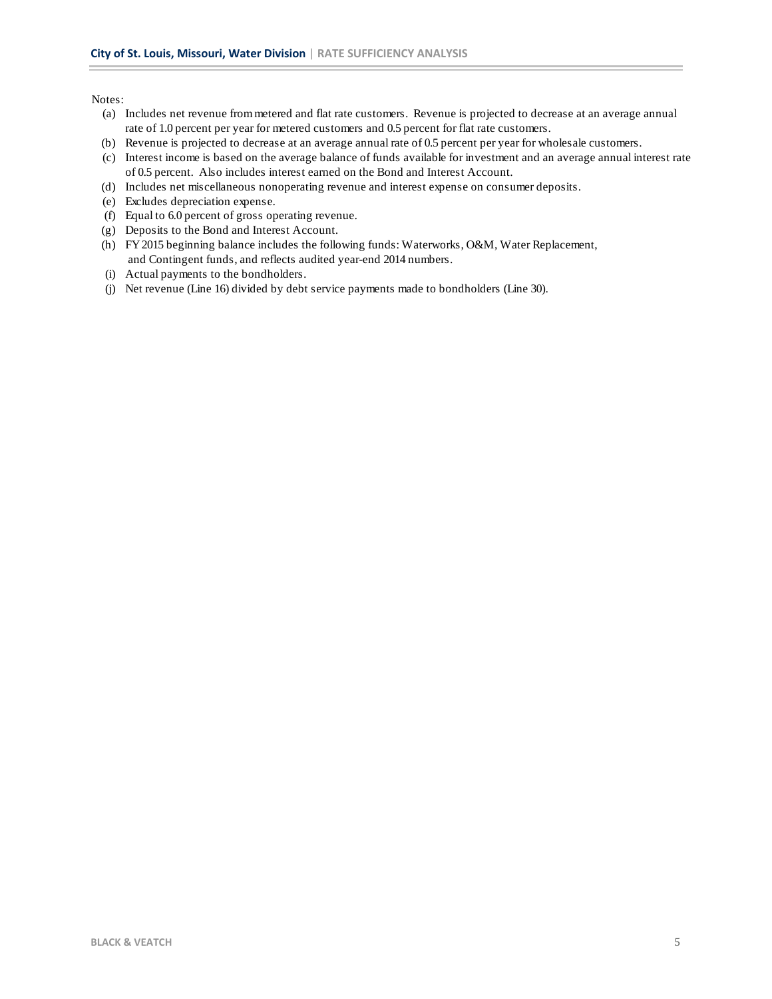Notes:

- (a) Includes net revenue from metered and flat rate customers. Revenue is projected to decrease at an average annual rate of 1.0 percent per year for metered customers and 0.5 percent for flat rate customers.
- (b) Revenue is projected to decrease at an average annual rate of 0.5 percent per year for wholesale customers.
- (c) Interest income is based on the average balance of funds available for investment and an average annual interest rate of 0.5 percent. Also includes interest earned on the Bond and Interest Account.
- (d) Includes net miscellaneous nonoperating revenue and interest expense on consumer deposits.
- (e) Excludes depreciation expense.
- (f) Equal to 6.0 percent of gross operating revenue.
- (g) Deposits to the Bond and Interest Account.
- (h) FY 2015 beginning balance includes the following funds: Waterworks, O&M, Water Replacement,
- and Contingent funds, and reflects audited year-end 2014 numbers.
- (i) Actual payments to the bondholders.
- (j) Net revenue (Line 16) divided by debt service payments made to bondholders (Line 30).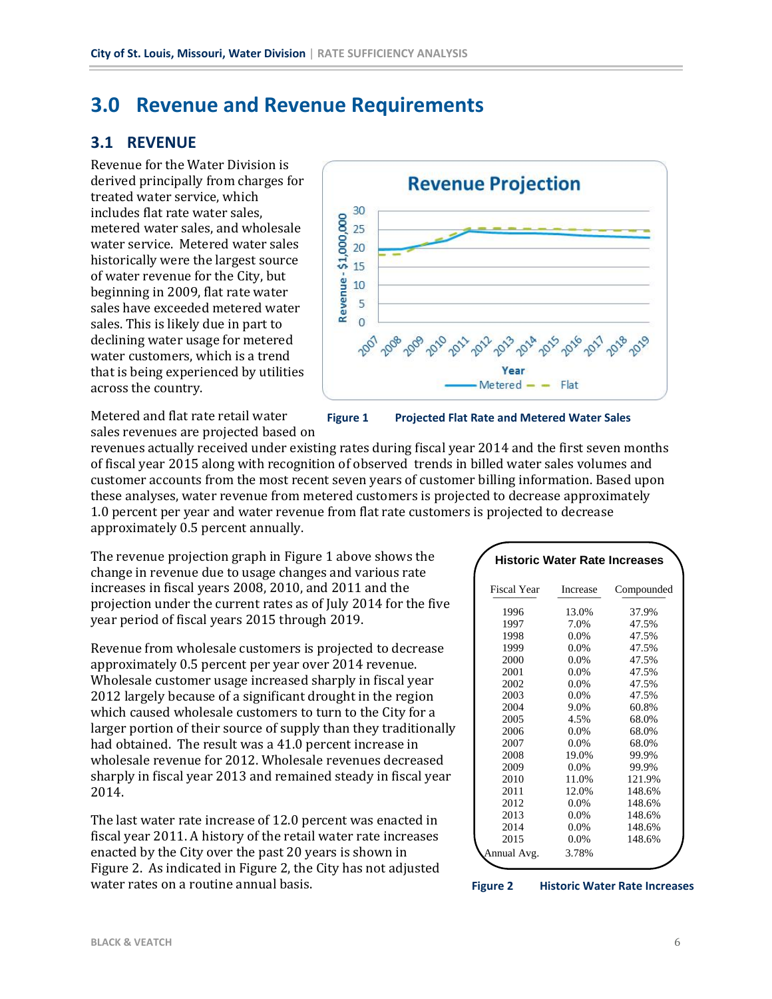# **3.0 Revenue and Revenue Requirements**

#### **3.1 REVENUE**

Revenue for the Water Division is derived principally from charges for treated water service, which includes flat rate water sales, metered water sales, and wholesale water service. Metered water sales historically were the largest source of water revenue for the City, but beginning in 2009, flat rate water sales have exceeded metered water sales. This is likely due in part to declining water usage for metered water customers, which is a trend that is being experienced by utilities across the country.



Metered and flat rate retail water sales revenues are projected based on **Figure 1 Projected Flat Rate and Metered Water Sales**

revenues actually received under existing rates during fiscal year 2014 and the first seven months of fiscal year 2015 along with recognition of observed trends in billed water sales volumes and customer accounts from the most recent seven years of customer billing information. Based upon these analyses, water revenue from metered customers is projected to decrease approximately 1.0 percent per year and water revenue from flat rate customers is projected to decrease approximately 0.5 percent annually.

The revenue projection graph in Figure 1 above shows the change in revenue due to usage changes and various rate increases in fiscal years 2008, 2010, and 2011 and the projection under the current rates as of July 2014 for the five year period of fiscal years 2015 through 2019.

Revenue from wholesale customers is projected to decrease approximately 0.5 percent per year over 2014 revenue. Wholesale customer usage increased sharply in fiscal year 2012 largely because of a significant drought in the region which caused wholesale customers to turn to the City for a larger portion of their source of supply than they traditionally had obtained. The result was a 41.0 percent increase in wholesale revenue for 2012. Wholesale revenues decreased sharply in fiscal year 2013 and remained steady in fiscal year 2014. 

The last water rate increase of 12.0 percent was enacted in fiscal year 2011. A history of the retail water rate increases enacted by the City over the past 20 years is shown in Figure 2. As indicated in Figure 2, the City has not adjusted water rates on a routine annual basis.

| <b>Historic Water Rate Increases</b> |          |            |  |  |  |  |
|--------------------------------------|----------|------------|--|--|--|--|
| Fiscal Year                          | Increase | Compounded |  |  |  |  |
| 1996                                 | 13.0%    | 37.9%      |  |  |  |  |
| 1997                                 | 7.0%     | 47.5%      |  |  |  |  |
| 1998                                 | 0.0%     | 47.5%      |  |  |  |  |
| 1999                                 | 0.0%     | 47.5%      |  |  |  |  |
| 2000                                 | 0.0%     | 47.5%      |  |  |  |  |
| 2001                                 | 0.0%     | 47.5%      |  |  |  |  |
| 2002                                 | 0.0%     | 47.5%      |  |  |  |  |
| 2003                                 | 0.0%     | 47.5%      |  |  |  |  |
| 2004                                 | 9.0%     | 60.8%      |  |  |  |  |
| 2005                                 | 4.5%     | 68.0%      |  |  |  |  |
| 2006                                 | 0.0%     | 68.0%      |  |  |  |  |
| 2007                                 | 0.0%     | 68.0%      |  |  |  |  |
| 2008                                 | 19.0%    | 99.9%      |  |  |  |  |
| 2009                                 | $0.0\%$  | 99.9%      |  |  |  |  |
| 2010                                 | 11.0%    | 121.9%     |  |  |  |  |
| 2011                                 | 12.0%    | 148.6%     |  |  |  |  |
| 2012                                 | $0.0\%$  | 148.6%     |  |  |  |  |
| 2013                                 | 0.0%     | 148.6%     |  |  |  |  |
| 2014                                 | 0.0%     | 148.6%     |  |  |  |  |
| 2015                                 | 0.0%     | 148.6%     |  |  |  |  |
| Annual Avg.                          | 3.78%    |            |  |  |  |  |

**Figure 2 Historic Water Rate Increases**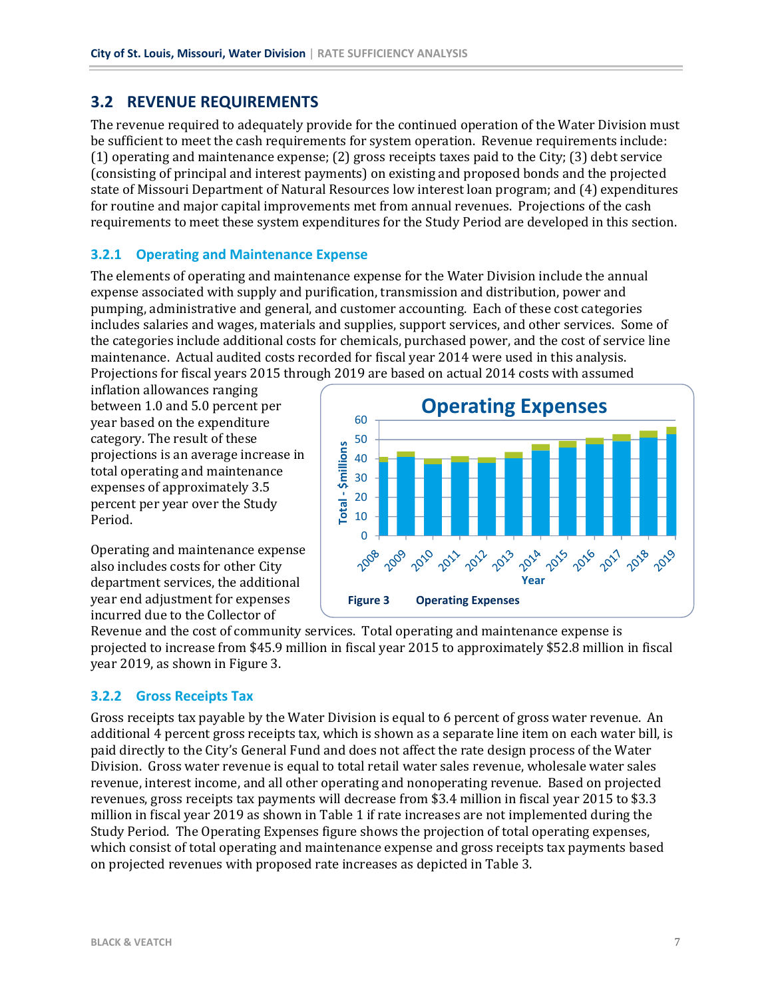## **3.2 REVENUE REQUIREMENTS**

The revenue required to adequately provide for the continued operation of the Water Division must be sufficient to meet the cash requirements for system operation. Revenue requirements include:  $(1)$  operating and maintenance expense;  $(2)$  gross receipts taxes paid to the City;  $(3)$  debt service (consisting of principal and interest payments) on existing and proposed bonds and the projected state of Missouri Department of Natural Resources low interest loan program; and (4) expenditures for routine and major capital improvements met from annual revenues. Projections of the cash requirements to meet these system expenditures for the Study Period are developed in this section.

#### **3.2.1 Operating and Maintenance Expense**

The elements of operating and maintenance expense for the Water Division include the annual expense associated with supply and purification, transmission and distribution, power and pumping, administrative and general, and customer accounting. Each of these cost categories includes salaries and wages, materials and supplies, support services, and other services. Some of the categories include additional costs for chemicals, purchased power, and the cost of service line maintenance. Actual audited costs recorded for fiscal year 2014 were used in this analysis. Projections for fiscal years 2015 through 2019 are based on actual 2014 costs with assumed

inflation allowances ranging between 1.0 and 5.0 percent per year based on the expenditure category. The result of these projections is an average increase in total operating and maintenance expenses of approximately 3.5 percent per year over the Study Period. 

Operating and maintenance expense also includes costs for other City department services, the additional year end adjustment for expenses incurred due to the Collector of



Revenue and the cost of community services. Total operating and maintenance expense is projected to increase from \$45.9 million in fiscal year 2015 to approximately \$52.8 million in fiscal year 2019, as shown in Figure 3.

#### **3.2.2 Gross Receipts Tax**

Gross receipts tax payable by the Water Division is equal to 6 percent of gross water revenue. An additional 4 percent gross receipts tax, which is shown as a separate line item on each water bill, is paid directly to the City's General Fund and does not affect the rate design process of the Water Division. Gross water revenue is equal to total retail water sales revenue, wholesale water sales revenue, interest income, and all other operating and nonoperating revenue. Based on projected revenues, gross receipts tax payments will decrease from \$3.4 million in fiscal year 2015 to \$3.3 million in fiscal year 2019 as shown in Table 1 if rate increases are not implemented during the Study Period. The Operating Expenses figure shows the projection of total operating expenses, which consist of total operating and maintenance expense and gross receipts tax payments based on projected revenues with proposed rate increases as depicted in Table 3.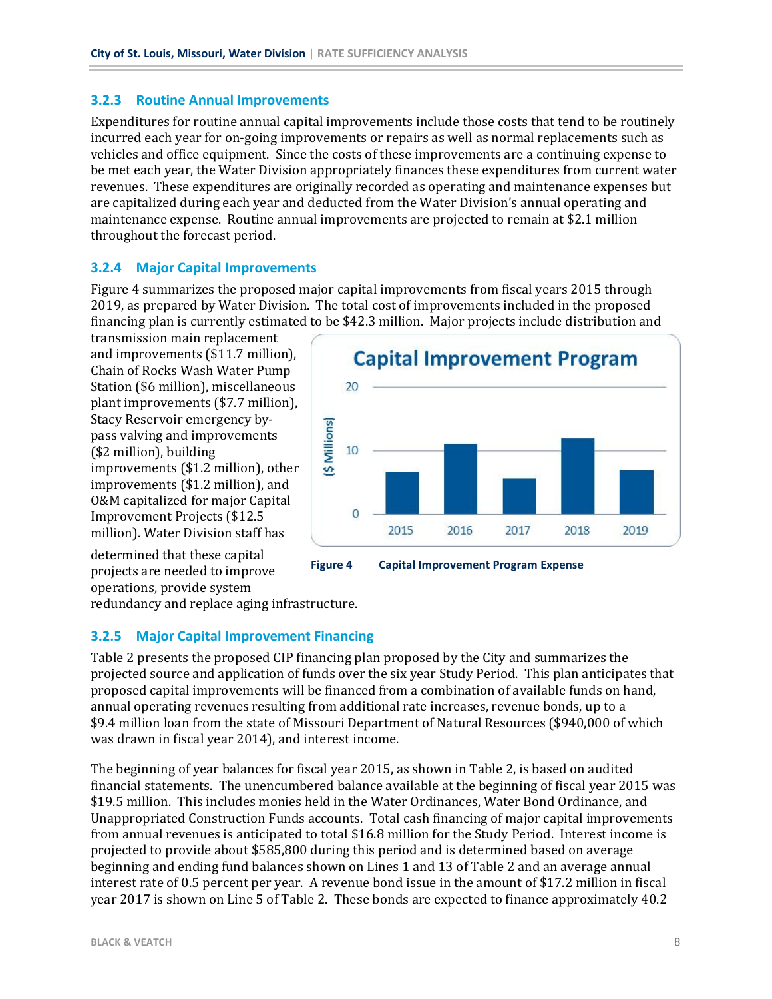#### **3.2.3 Routine Annual Improvements**

Expenditures for routine annual capital improvements include those costs that tend to be routinely incurred each year for on-going improvements or repairs as well as normal replacements such as vehicles and office equipment. Since the costs of these improvements are a continuing expense to be met each year, the Water Division appropriately finances these expenditures from current water revenues. These expenditures are originally recorded as operating and maintenance expenses but are capitalized during each year and deducted from the Water Division's annual operating and maintenance expense. Routine annual improvements are projected to remain at \$2.1 million throughout the forecast period.

#### **3.2.4 Major Capital Improvements**

Figure 4 summarizes the proposed major capital improvements from fiscal years 2015 through 2019, as prepared by Water Division. The total cost of improvements included in the proposed financing plan is currently estimated to be \$42.3 million. Major projects include distribution and

transmission main replacement and improvements (\$11.7 million), Chain of Rocks Wash Water Pump Station (\$6 million), miscellaneous plant improvements (\$7.7 million), Stacy Reservoir emergency bypass valving and improvements (\$2 million), building improvements (\$1.2 million), other improvements (\$1.2 million), and O&M capitalized for major Capital Improvement Projects (\$12.5 million). Water Division staff has



determined that these capital projects are needed to improve operations, provide system

redundancy and replace aging infrastructure.

#### **3.2.5 Major Capital Improvement Financing**

Table 2 presents the proposed CIP financing plan proposed by the City and summarizes the projected source and application of funds over the six year Study Period. This plan anticipates that proposed capital improvements will be financed from a combination of available funds on hand, annual operating revenues resulting from additional rate increases, revenue bonds, up to a \$9.4 million loan from the state of Missouri Department of Natural Resources (\$940,000 of which was drawn in fiscal year 2014), and interest income.

The beginning of year balances for fiscal year 2015, as shown in Table 2, is based on audited financial statements. The unencumbered balance available at the beginning of fiscal year 2015 was \$19.5 million. This includes monies held in the Water Ordinances, Water Bond Ordinance, and Unappropriated Construction Funds accounts. Total cash financing of major capital improvements from annual revenues is anticipated to total \$16.8 million for the Study Period. Interest income is projected to provide about \$585,800 during this period and is determined based on average beginning and ending fund balances shown on Lines 1 and 13 of Table 2 and an average annual interest rate of 0.5 percent per year. A revenue bond issue in the amount of \$17.2 million in fiscal year 2017 is shown on Line 5 of Table 2. These bonds are expected to finance approximately 40.2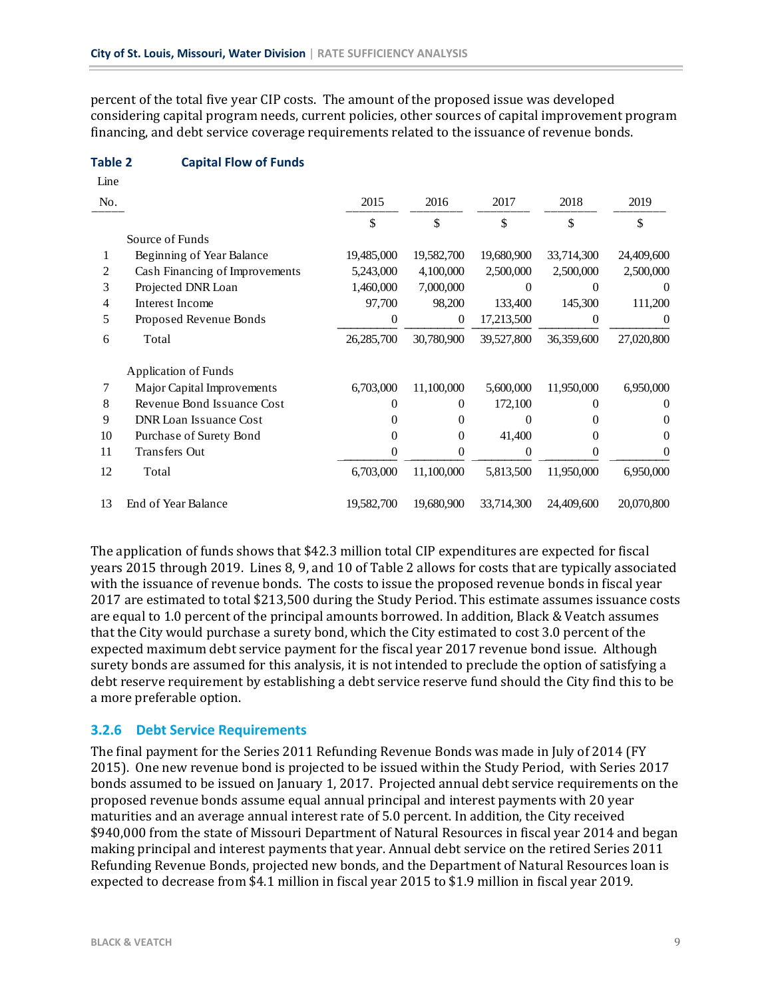percent of the total five year CIP costs. The amount of the proposed issue was developed considering capital program needs, current policies, other sources of capital improvement program financing, and debt service coverage requirements related to the issuance of revenue bonds.

#### **Table 2 Capital Flow of Funds**

| Line |                                |            |            |            |            |                  |
|------|--------------------------------|------------|------------|------------|------------|------------------|
| No.  |                                | 2015       | 2016       | 2017       | 2018       | 2019             |
|      |                                | \$         | \$         | \$         | \$         | \$               |
|      | Source of Funds                |            |            |            |            |                  |
|      | Beginning of Year Balance      | 19,485,000 | 19,582,700 | 19,680,900 | 33,714,300 | 24,409,600       |
| 2    | Cash Financing of Improvements | 5,243,000  | 4,100,000  | 2,500,000  | 2,500,000  | 2,500,000        |
| 3    | Projected DNR Loan             | 1,460,000  | 7,000,000  | 0          | $\Omega$   | $\Omega$         |
| 4    | Interest Income                | 97,700     | 98,200     | 133,400    | 145,300    | 111,200          |
| 5    | Proposed Revenue Bonds         | $\theta$   | 0          | 17,213,500 | $\theta$   | $\boldsymbol{0}$ |
| 6    | Total                          | 26,285,700 | 30,780,900 | 39,527,800 | 36,359,600 | 27,020,800       |
|      | Application of Funds           |            |            |            |            |                  |
| 7    | Major Capital Improvements     | 6,703,000  | 11,100,000 | 5,600,000  | 11,950,000 | 6,950,000        |
| 8    | Revenue Bond Issuance Cost     | $\theta$   | 0          | 172,100    | 0          | $\theta$         |
| 9    | <b>DNR</b> Loan Issuance Cost  | $\theta$   | 0          | 0          | $\theta$   | $\theta$         |
| 10   | Purchase of Surety Bond        | $\Omega$   | $\Omega$   | 41,400     | 0          | 0                |
| 11   | <b>Transfers Out</b>           | $\Omega$   | 0          | 0          | $\Omega$   | $\theta$         |
| 12   | Total                          | 6,703,000  | 11,100,000 | 5,813,500  | 11,950,000 | 6,950,000        |
| 13   | End of Year Balance            | 19,582,700 | 19,680,900 | 33,714,300 | 24,409,600 | 20,070,800       |

The application of funds shows that \$42.3 million total CIP expenditures are expected for fiscal years 2015 through 2019. Lines 8, 9, and 10 of Table 2 allows for costs that are typically associated with the issuance of revenue bonds. The costs to issue the proposed revenue bonds in fiscal year 2017 are estimated to total \$213,500 during the Study Period. This estimate assumes issuance costs are equal to 1.0 percent of the principal amounts borrowed. In addition, Black & Veatch assumes that the City would purchase a surety bond, which the City estimated to cost 3.0 percent of the expected maximum debt service payment for the fiscal year 2017 revenue bond issue. Although surety bonds are assumed for this analysis, it is not intended to preclude the option of satisfying a debt reserve requirement by establishing a debt service reserve fund should the City find this to be a more preferable option.

#### **3.2.6 Debt Service Requirements**

The final payment for the Series 2011 Refunding Revenue Bonds was made in July of 2014 (FY) 2015). One new revenue bond is projected to be issued within the Study Period, with Series 2017 bonds assumed to be issued on January 1, 2017. Projected annual debt service requirements on the proposed revenue bonds assume equal annual principal and interest payments with 20 year maturities and an average annual interest rate of 5.0 percent. In addition, the City received \$940,000 from the state of Missouri Department of Natural Resources in fiscal year 2014 and began making principal and interest payments that year. Annual debt service on the retired Series 2011 Refunding Revenue Bonds, projected new bonds, and the Department of Natural Resources loan is expected to decrease from \$4.1 million in fiscal year 2015 to \$1.9 million in fiscal year 2019.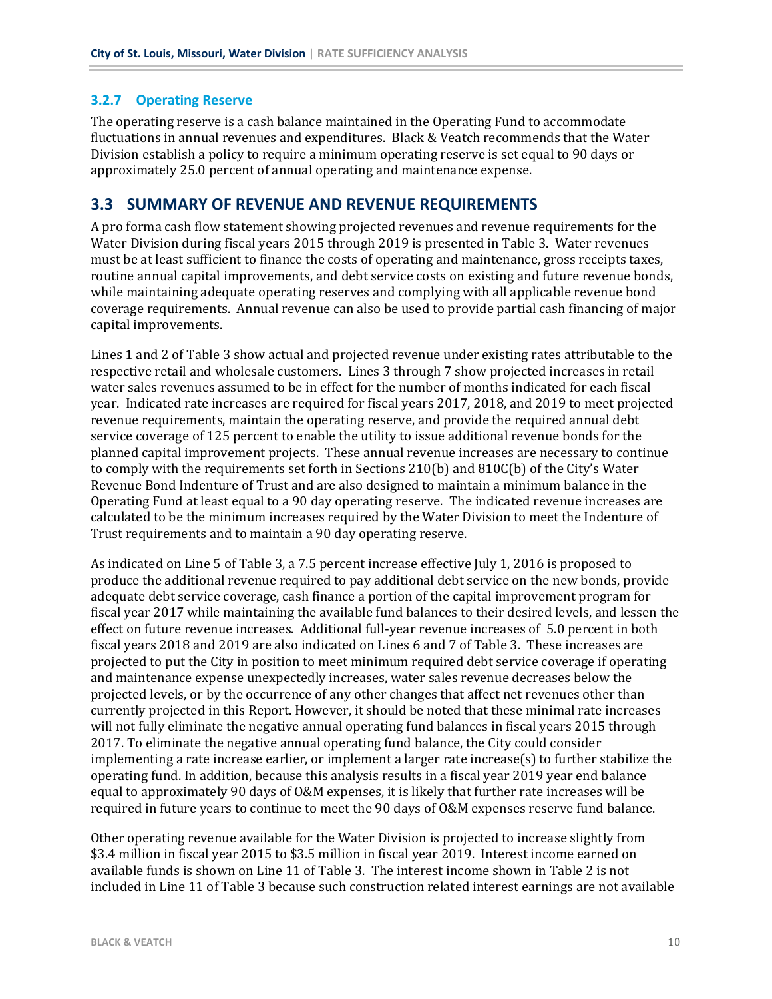#### **3.2.7 Operating Reserve**

The operating reserve is a cash balance maintained in the Operating Fund to accommodate fluctuations in annual revenues and expenditures. Black & Veatch recommends that the Water Division establish a policy to require a minimum operating reserve is set equal to 90 days or approximately 25.0 percent of annual operating and maintenance expense.

#### **3.3 SUMMARY OF REVENUE AND REVENUE REQUIREMENTS**

A pro forma cash flow statement showing projected revenues and revenue requirements for the Water Division during fiscal years 2015 through 2019 is presented in Table 3. Water revenues must be at least sufficient to finance the costs of operating and maintenance, gross receipts taxes, routine annual capital improvements, and debt service costs on existing and future revenue bonds, while maintaining adequate operating reserves and complying with all applicable revenue bond coverage requirements. Annual revenue can also be used to provide partial cash financing of major capital improvements.

Lines 1 and 2 of Table 3 show actual and projected revenue under existing rates attributable to the respective retail and wholesale customers. Lines 3 through 7 show projected increases in retail water sales revenues assumed to be in effect for the number of months indicated for each fiscal year. Indicated rate increases are required for fiscal years 2017, 2018, and 2019 to meet projected revenue requirements, maintain the operating reserve, and provide the required annual debt service coverage of 125 percent to enable the utility to issue additional revenue bonds for the planned capital improvement projects. These annual revenue increases are necessary to continue to comply with the requirements set forth in Sections  $210(b)$  and  $810C(b)$  of the City's Water Revenue Bond Indenture of Trust and are also designed to maintain a minimum balance in the Operating Fund at least equal to a 90 day operating reserve. The indicated revenue increases are calculated to be the minimum increases required by the Water Division to meet the Indenture of Trust requirements and to maintain a 90 day operating reserve.

As indicated on Line 5 of Table 3, a 7.5 percent increase effective July 1, 2016 is proposed to produce the additional revenue required to pay additional debt service on the new bonds, provide adequate debt service coverage, cash finance a portion of the capital improvement program for fiscal year 2017 while maintaining the available fund balances to their desired levels, and lessen the effect on future revenue increases. Additional full-year revenue increases of 5.0 percent in both fiscal years 2018 and 2019 are also indicated on Lines 6 and 7 of Table 3. These increases are projected to put the City in position to meet minimum required debt service coverage if operating and maintenance expense unexpectedly increases, water sales revenue decreases below the projected levels, or by the occurrence of any other changes that affect net revenues other than currently projected in this Report. However, it should be noted that these minimal rate increases will not fully eliminate the negative annual operating fund balances in fiscal years 2015 through 2017. To eliminate the negative annual operating fund balance, the City could consider implementing a rate increase earlier, or implement a larger rate increase(s) to further stabilize the operating fund. In addition, because this analysis results in a fiscal year 2019 year end balance equal to approximately 90 days of O&M expenses, it is likely that further rate increases will be required in future years to continue to meet the 90 days of O&M expenses reserve fund balance.

Other operating revenue available for the Water Division is projected to increase slightly from \$3.4 million in fiscal year 2015 to \$3.5 million in fiscal year 2019. Interest income earned on available funds is shown on Line 11 of Table 3. The interest income shown in Table 2 is not included in Line 11 of Table 3 because such construction related interest earnings are not available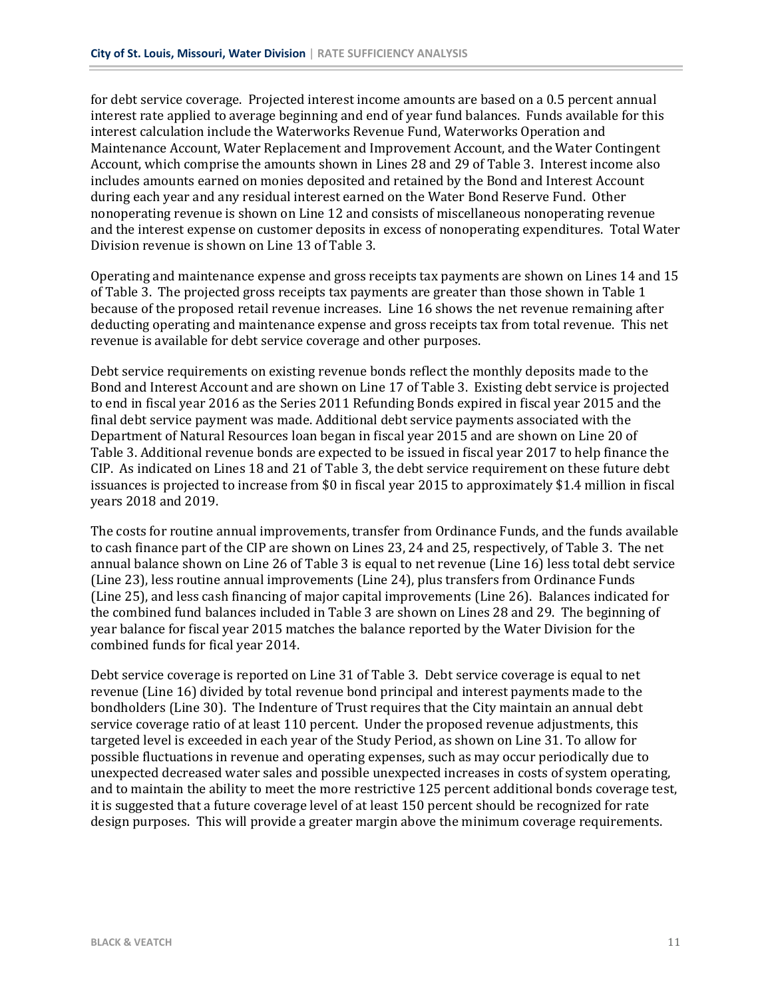for debt service coverage. Projected interest income amounts are based on a 0.5 percent annual interest rate applied to average beginning and end of year fund balances. Funds available for this interest calculation include the Waterworks Revenue Fund, Waterworks Operation and Maintenance Account, Water Replacement and Improvement Account, and the Water Contingent Account, which comprise the amounts shown in Lines 28 and 29 of Table 3. Interest income also includes amounts earned on monies deposited and retained by the Bond and Interest Account during each year and any residual interest earned on the Water Bond Reserve Fund. Other nonoperating revenue is shown on Line 12 and consists of miscellaneous nonoperating revenue and the interest expense on customer deposits in excess of nonoperating expenditures. Total Water Division revenue is shown on Line 13 of Table 3.

Operating and maintenance expense and gross receipts tax payments are shown on Lines 14 and 15 of Table 3. The projected gross receipts tax payments are greater than those shown in Table 1 because of the proposed retail revenue increases. Line 16 shows the net revenue remaining after deducting operating and maintenance expense and gross receipts tax from total revenue. This net revenue is available for debt service coverage and other purposes.

Debt service requirements on existing revenue bonds reflect the monthly deposits made to the Bond and Interest Account and are shown on Line 17 of Table 3. Existing debt service is projected to end in fiscal year 2016 as the Series 2011 Refunding Bonds expired in fiscal year 2015 and the final debt service payment was made. Additional debt service payments associated with the Department of Natural Resources loan began in fiscal year 2015 and are shown on Line 20 of Table 3. Additional revenue bonds are expected to be issued in fiscal year 2017 to help finance the CIP. As indicated on Lines 18 and 21 of Table 3, the debt service requirement on these future debt issuances is projected to increase from  $$0$  in fiscal year 2015 to approximately  $$1.4$  million in fiscal years 2018 and 2019.

The costs for routine annual improvements, transfer from Ordinance Funds, and the funds available to cash finance part of the CIP are shown on Lines 23, 24 and 25, respectively, of Table 3. The net annual balance shown on Line 26 of Table 3 is equal to net revenue (Line 16) less total debt service (Line 23), less routine annual improvements (Line 24), plus transfers from Ordinance Funds (Line 25), and less cash financing of major capital improvements (Line 26). Balances indicated for the combined fund balances included in Table 3 are shown on Lines 28 and 29. The beginning of year balance for fiscal year 2015 matches the balance reported by the Water Division for the combined funds for fical year 2014.

Debt service coverage is reported on Line 31 of Table 3. Debt service coverage is equal to net revenue (Line 16) divided by total revenue bond principal and interest payments made to the bondholders (Line 30). The Indenture of Trust requires that the City maintain an annual debt service coverage ratio of at least 110 percent. Under the proposed revenue adjustments, this targeted level is exceeded in each year of the Study Period, as shown on Line 31. To allow for possible fluctuations in revenue and operating expenses, such as may occur periodically due to unexpected decreased water sales and possible unexpected increases in costs of system operating, and to maintain the ability to meet the more restrictive 125 percent additional bonds coverage test, it is suggested that a future coverage level of at least 150 percent should be recognized for rate design purposes. This will provide a greater margin above the minimum coverage requirements.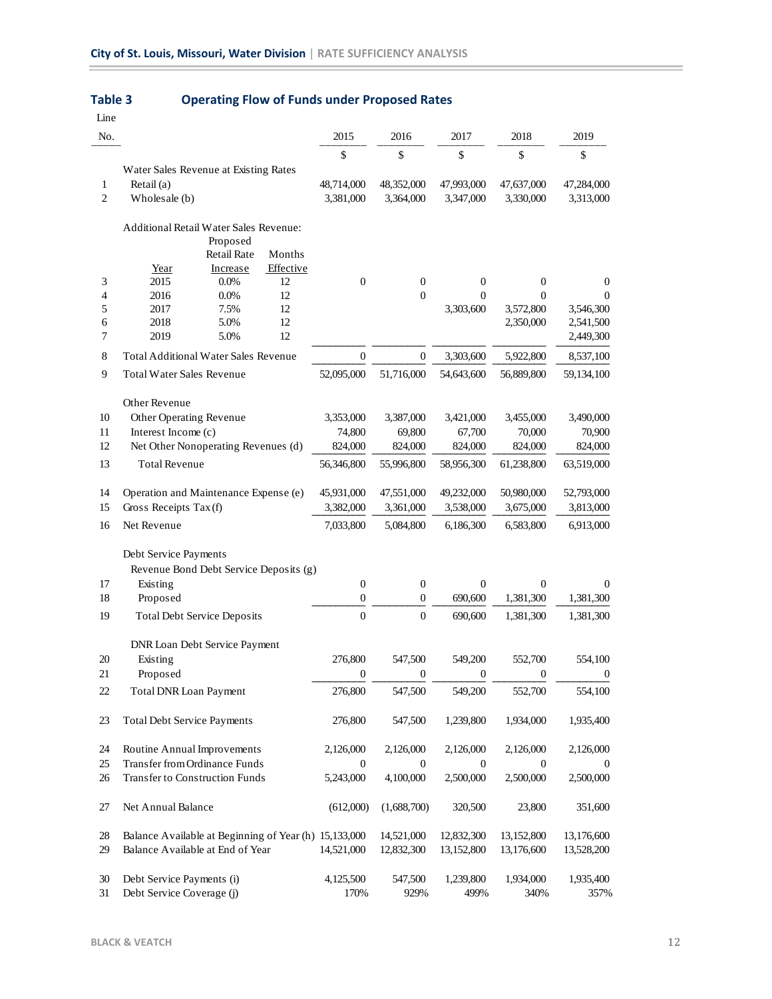| Line              |                                                                        |                                                                   |                         |                          |                                  |                                  |                                     |
|-------------------|------------------------------------------------------------------------|-------------------------------------------------------------------|-------------------------|--------------------------|----------------------------------|----------------------------------|-------------------------------------|
| No.               |                                                                        |                                                                   | 2015                    | 2016                     | 2017                             | 2018                             | 2019                                |
|                   |                                                                        |                                                                   | \$                      | \$                       | \$                               | $\mathbb{S}$                     | \$                                  |
| $\mathbf{1}$<br>2 | Water Sales Revenue at Existing Rates<br>Retail $(a)$<br>Wholesale (b) |                                                                   | 48,714,000<br>3,381,000 | 48,352,000<br>3,364,000  | 47,993,000<br>3,347,000          | 47,637,000<br>3,330,000          | 47,284,000<br>3,313,000             |
|                   | <b>Additional Retail Water Sales Revenue:</b><br>Year                  | Proposed<br><b>Retail Rate</b><br>Months<br>Effective<br>Increase |                         |                          |                                  |                                  |                                     |
| 3<br>4            | 2015<br>2016                                                           | $0.0\%$<br>12<br>0.0%<br>12                                       | $\boldsymbol{0}$        | $\mathbf{0}$<br>$\theta$ | $\boldsymbol{0}$<br>$\mathbf{0}$ | $\boldsymbol{0}$<br>$\mathbf{0}$ | 0<br>$\Omega$                       |
| 5<br>6<br>7       | 2017<br>2018<br>2019                                                   | 12<br>7.5%<br>5.0%<br>12<br>5.0%<br>12                            |                         |                          | 3,303,600                        | 3,572,800<br>2,350,000           | 3,546,300<br>2,541,500<br>2,449,300 |
| 8                 | <b>Total Additional Water Sales Revenue</b>                            |                                                                   | $\mathbf{0}$            | $\mathbf{0}$             | 3,303,600                        | 5,922,800                        | 8,537,100                           |
| 9                 | <b>Total Water Sales Revenue</b>                                       |                                                                   | 52,095,000              | 51,716,000               | 54,643,600                       | 56,889,800                       | 59,134,100                          |
| 10                | Other Revenue<br>Other Operating Revenue                               |                                                                   | 3,353,000               | 3,387,000                | 3,421,000                        | 3,455,000                        | 3,490,000                           |
| 11                | Interest Income (c)                                                    |                                                                   | 74,800                  | 69,800                   | 67,700                           | 70,000                           | 70,900                              |
| 12                | Net Other Nonoperating Revenues (d)                                    |                                                                   | 824,000                 | 824,000                  | 824,000                          | 824,000                          | 824,000                             |
| 13                | <b>Total Revenue</b>                                                   |                                                                   | 56,346,800              | 55,996,800               | 58,956,300                       | 61,238,800                       | 63,519,000                          |
| 14                | Operation and Maintenance Expense (e)                                  | 45,931,000                                                        | 47,551,000              | 49,232,000               | 50,980,000                       | 52,793,000                       |                                     |
| 15                | Gross Receipts Tax (f)                                                 | 3,382,000                                                         | 3,361,000               | 3,538,000                | 3,675,000                        | 3,813,000                        |                                     |
| 16                | Net Revenue                                                            |                                                                   | 7,033,800               | 5,084,800                | 6,186,300                        | 6,583,800                        | 6,913,000                           |
|                   | Debt Service Payments<br>Revenue Bond Debt Service Deposits (g)        |                                                                   |                         |                          |                                  |                                  |                                     |
| 17                | Existing                                                               |                                                                   | $\overline{0}$          | 0                        | $\mathbf{0}$                     | $\mathbf{0}$                     | $\theta$                            |
| 18                | Proposed                                                               |                                                                   | $\boldsymbol{0}$        | $\mathbf{0}$             | 690,600                          | 1,381,300                        | 1,381,300                           |
| 19                | <b>Total Debt Service Deposits</b>                                     |                                                                   | $\boldsymbol{0}$        | $\overline{0}$           | 690,600                          | 1,381,300                        | 1,381,300                           |
|                   | DNR Loan Debt Service Payment                                          |                                                                   |                         |                          |                                  |                                  |                                     |
| 20                | Existing                                                               |                                                                   | 276,800                 | 547,500                  | 549,200                          | 552,700                          | 554,100                             |
| 21                | Proposed                                                               |                                                                   | $\boldsymbol{0}$        | 0                        | $\boldsymbol{0}$                 | $\bf{0}$                         | $\bf{0}$                            |
| $22\,$            | Total DNR Loan Payment                                                 |                                                                   | 276,800                 | 547,500                  | 549,200                          | 552,700                          | 554,100                             |
| 23                | <b>Total Debt Service Payments</b>                                     |                                                                   | 276,800                 | 547,500                  | 1,239,800                        | 1,934,000                        | 1,935,400                           |
| 24                | Routine Annual Improvements                                            |                                                                   | 2,126,000               | 2,126,000                | 2,126,000                        | 2,126,000                        | 2,126,000                           |
| 25                | Transfer from Ordinance Funds                                          |                                                                   | $\boldsymbol{0}$        | $\overline{0}$           | $\boldsymbol{0}$                 | $\boldsymbol{0}$                 | $\theta$                            |
| 26                | Transfer to Construction Funds                                         |                                                                   | 5,243,000               | 4,100,000                | 2,500,000                        | 2,500,000                        | 2,500,000                           |
| 27                | Net Annual Balance                                                     |                                                                   | (612,000)               | (1,688,700)              | 320,500                          | 23,800                           | 351,600                             |
| 28                | Balance Available at Beginning of Year (h) 15,133,000                  |                                                                   |                         | 14,521,000               | 12,832,300                       | 13,152,800                       | 13,176,600                          |
| 29                | Balance Available at End of Year                                       |                                                                   | 14,521,000              | 12,832,300               | 13,152,800                       | 13,176,600                       | 13,528,200                          |
| 30<br>31          | Debt Service Payments (i)<br>Debt Service Coverage (j)                 |                                                                   | 4,125,500<br>170%       | 547,500<br>929%          | 1,239,800<br>499%                | 1,934,000<br>340%                | 1,935,400<br>357%                   |

#### **Table 3 Operating Flow of Funds under Proposed Rates**

 $\overline{\phantom{a}}$